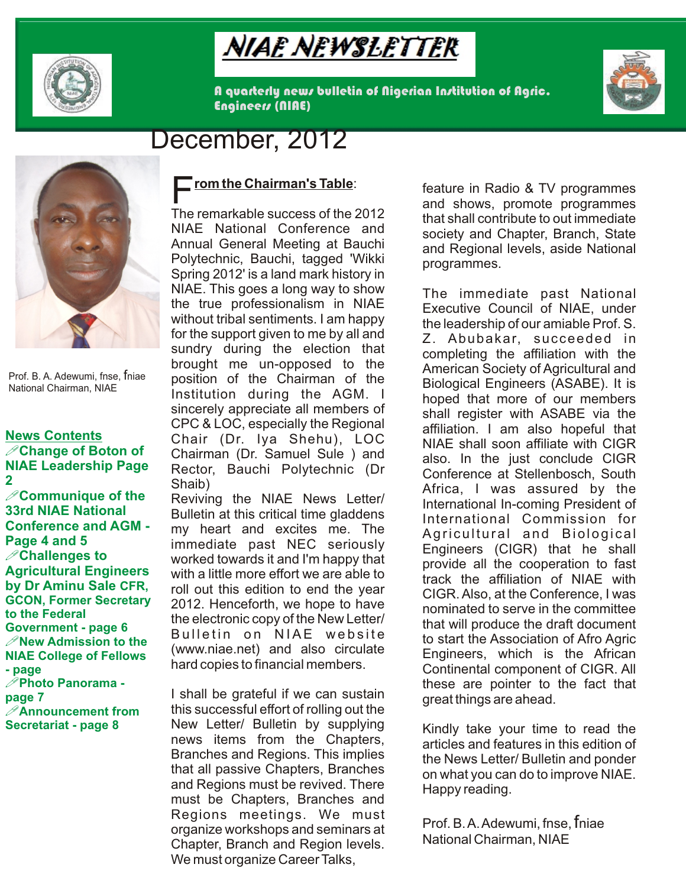

# Niaë Nëwsletter

A quarterly news bulletin of Nigerian Institution of Agric. Engineers (NIAE)



## December, 2012



Prof. B. A. Adewumi, fnse, fniae National Chairman, NIAE

## **News Contents NIAE Leadership Page 2**

**33rd NIAE National Conference and AGM - Page 4 and 5 Agricultural Engineers by Dr Aminu Sale CFR, GCON, Former Secretary to the Federal Government - page 6 NIAE College of Fellows - page page 7 Secretariat - page 8** 

### **<u>rom the Chairman's Table</u>:**

The remarkable success of the 2012 NIAE National Conference and Annual General Meeting at Bauchi Polytechnic, Bauchi, tagged 'Wikki Spring 2012' is a land mark history in NIAE. This goes a long way to show the true professionalism in NIAE without tribal sentiments. I am happy for the support given to me by all and sundry during the election that brought me un-opposed to the position of the Chairman of the Institution during the AGM. I sincerely appreciate all members of CPC & LOC, especially the Regional Chair (Dr. Iya Shehu), LOC Rector, Bauchi Polytechnic (Dr Shaib)

Bulletin at this critical time gladdens my heart and excites me. The immediate past NEC seriously with a little more effort we are able to roll out this edition to end the year 2012. Henceforth, we hope to have the electronic copy of the New Letter/ Bulletin on NIAE website (www.niae.net) and also circulate hard copies to financial members.

I shall be grateful if we can sustain Announcement from this successful effort of rolling out the *Execution Securement* New Letter/ Bulletin by supplying news items from the Chapters, Branches and Regions. This implies that all passive Chapters, Branches and Regions must be revived. There must be Chapters, Branches and Regions meetings. We must organize workshops and seminars at Chapter, Branch and Region levels. We must organize Career Talks,

feature in Radio & TV programmes and shows, promote programmes that shall contribute to out immediate society and Chapter, Branch, State and Regional levels, aside National programmes.

**Change of Boton of** Chairman (Dr. Samuel Sule ) and also In the just conclude CIGR **Communique of the** Reviving the NIAE News Letter/ **Communique of the antique Communique of the Reviving the NIAE** News Letter/ **International In-coming President of** worked towards it and I'm happy that !**Challenges to**  The immediate past National Executive Council of NIAE, under the leadership of our amiable Prof. S. Z. Abubakar, succeeded in completing the affiliation with the American Society of Agricultural and Biological Engineers (ASABE). It is hoped that more of our members shall register with ASABE via the affiliation. I am also hopeful that NIAE shall soon affiliate with CIGR also. In the just conclude CIGR Conference at Stellenbosch, South Africa, I was assured by the International In-coming President of International Commission for Agricultural and Biological Engineers (CIGR) that he shall provide all the cooperation to fast track the affiliation of NIAE with CIGR. Also, at the Conference, I was nominated to serve in the committee that will produce the draft document *P* **New Admission to the BUILELIN ON NIAE WEDSILE to start the Association of Afro Agric** Engineers, which is the African Continental component of CIGR. All these are pointer to the fact that !**Photo Panorama**  great things are ahead.

> Kindly take your time to read the articles and features in this edition of the News Letter/ Bulletin and ponder on what you can do to improve NIAE. Happy reading.

Prof. B. A. Adewumi, fnse, fniae National Chairman, NIAE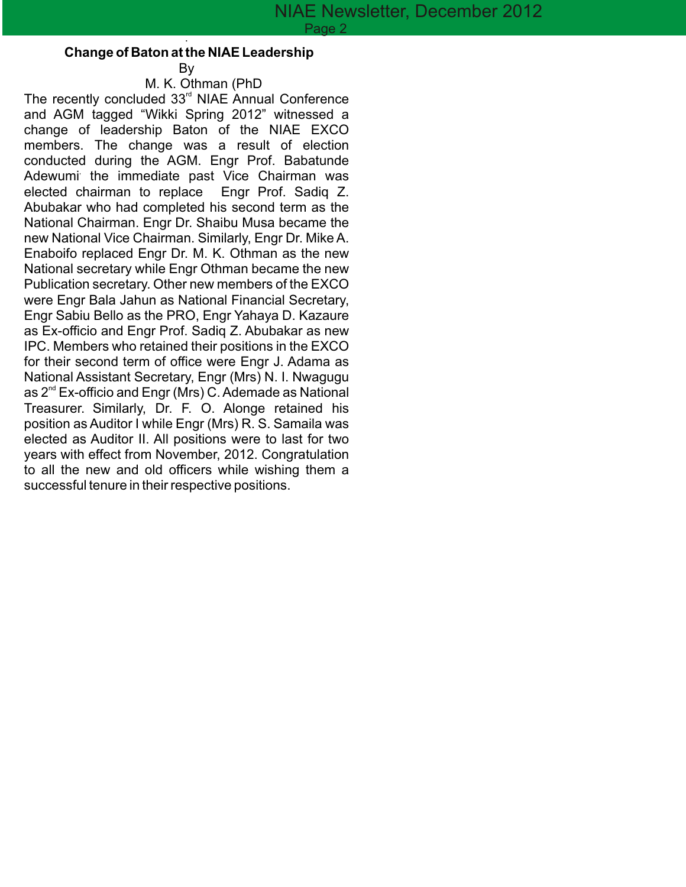#### . **Change of Baton at the NIAE Leadership**

By M. K. Othman (PhD

The recently concluded  $33<sup>rd</sup>$  NIAE Annual Conference and AGM tagged "Wikki Spring 2012" witnessed a change of leadership Baton of the NIAE EXCO members. The change was a result of election conducted during the AGM. Engr Prof. Babatunde Adewumi the immediate past Vice Chairman was elected chairman to replace Engr Prof. Sadiq Z. elected chairman to replace Abubakar who had completed his second term as the National Chairman. Engr Dr. Shaibu Musa became the new National Vice Chairman. Similarly, Engr Dr. Mike A. Enaboifo replaced Engr Dr. M. K. Othman as the new National secretary while Engr Othman became the new Publication secretary. Other new members of the EXCO were Engr Bala Jahun as National Financial Secretary, Engr Sabiu Bello as the PRO, Engr Yahaya D. Kazaure as Ex-officio and Engr Prof. Sadiq Z. Abubakar as new IPC. Members who retained their positions in the EXCO for their second term of office were Engr J. Adama as National Assistant Secretary, Engr (Mrs) N. I. Nwagugu as  $2^{nd}$  Ex-officio and Engr (Mrs) C. Ademade as National Treasurer. Similarly, Dr. F. O. Alonge retained his position as Auditor I while Engr (Mrs) R. S. Samaila was elected as Auditor II. All positions were to last for two years with effect from November, 2012. Congratulation to all the new and old officers while wishing them a successful tenure in their respective positions.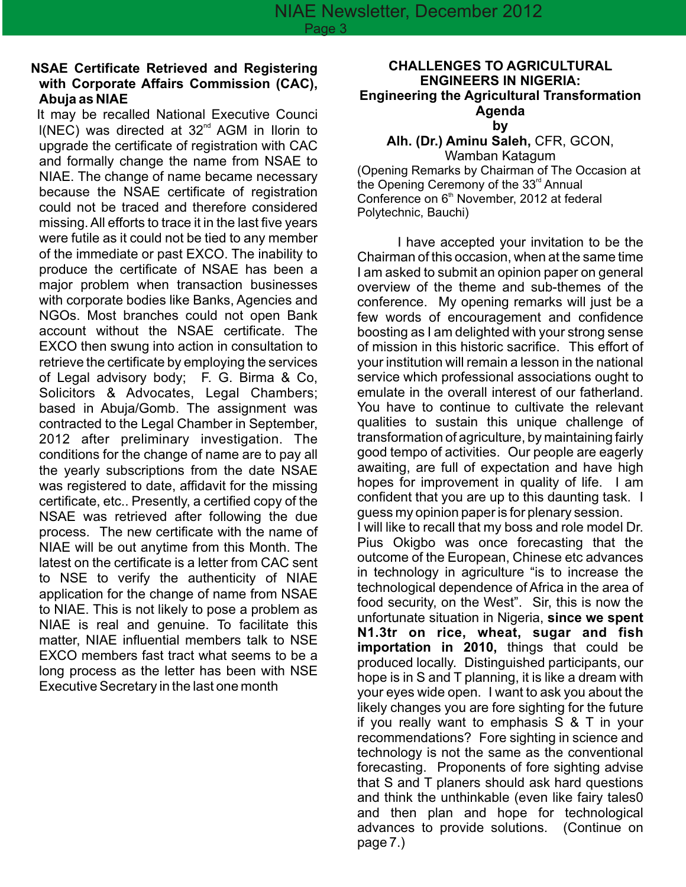#### **NSAE Certificate Retrieved and Registering with Corporate Affairs Commission (CAC), Abuja as NIAE**

It may be recalled National Executive Counci  $I(NEC)$  was directed at 32<sup>nd</sup> AGM in Ilorin to upgrade the certificate of registration with CAC and formally change the name from NSAE to NIAE. The change of name became necessary because the NSAE certificate of registration could not be traced and therefore considered missing. All efforts to trace it in the last five years were futile as it could not be tied to any member of the immediate or past EXCO. The inability to produce the certificate of NSAE has been a major problem when transaction businesses with corporate bodies like Banks, Agencies and NGOs. Most branches could not open Bank account without the NSAE certificate. The EXCO then swung into action in consultation to retrieve the certificate by employing the services of Legal advisory body; F. G. Birma & Co, Solicitors & Advocates, Legal Chambers; based in Abuja/Gomb. The assignment was contracted to the Legal Chamber in September, 2012 after preliminary investigation. The conditions for the change of name are to pay all the yearly subscriptions from the date NSAE was registered to date, affidavit for the missing certificate, etc.. Presently, a certified copy of the NSAE was retrieved after following the due process. The new certificate with the name of NIAE will be out anytime from this Month. The latest on the certificate is a letter from CAC sent to NSE to verify the authenticity of NIAE application for the change of name from NSAE to NIAE. This is not likely to pose a problem as NIAE is real and genuine. To facilitate this matter, NIAE influential members talk to NSE EXCO members fast tract what seems to be a long process as the letter has been with NSE Executive Secretary in the last one month

#### **CHALLENGES TO AGRICULTURAL ENGINEERS IN NIGERIA: Engineering the Agricultural Transformation Agenda by**

#### **Alh. (Dr.) Aminu Saleh,** CFR, GCON,

Wamban Katagum (Opening Remarks by Chairman of The Occasion at the Opening Ceremony of the  $33<sup>rd</sup>$  Annual Conference on  $6<sup>th</sup>$  November, 2012 at federal Polytechnic, Bauchi)

I have accepted your invitation to be the Chairman of this occasion, when at the same time I am asked to submit an opinion paper on general overview of the theme and sub-themes of the conference. My opening remarks will just be a few words of encouragement and confidence boosting as I am delighted with your strong sense of mission in this historic sacrifice. This effort of your institution will remain a lesson in the national service which professional associations ought to emulate in the overall interest of our fatherland. You have to continue to cultivate the relevant qualities to sustain this unique challenge of transformation of agriculture, by maintaining fairly good tempo of activities. Our people are eagerly awaiting, are full of expectation and have high hopes for improvement in quality of life. I am confident that you are up to this daunting task. I guess my opinion paper is for plenary session.

I will like to recall that my boss and role model Dr. Pius Okigbo was once forecasting that the outcome of the European, Chinese etc advances in technology in agriculture "is to increase the technological dependence of Africa in the area of food security, on the West". Sir, this is now the unfortunate situation in Nigeria, **since we spent N1.3tr on rice, wheat, sugar and fish importation in 2010,** things that could be produced locally. Distinguished participants, our hope is in S and T planning, it is like a dream with your eyes wide open. I want to ask you about the likely changes you are fore sighting for the future if you really want to emphasis S & T in your recommendations? Fore sighting in science and technology is not the same as the conventional forecasting. Proponents of fore sighting advise that S and T planers should ask hard questions and think the unthinkable (even like fairy tales0 and then plan and hope for technological advances to provide solutions. (Continue on page 7.)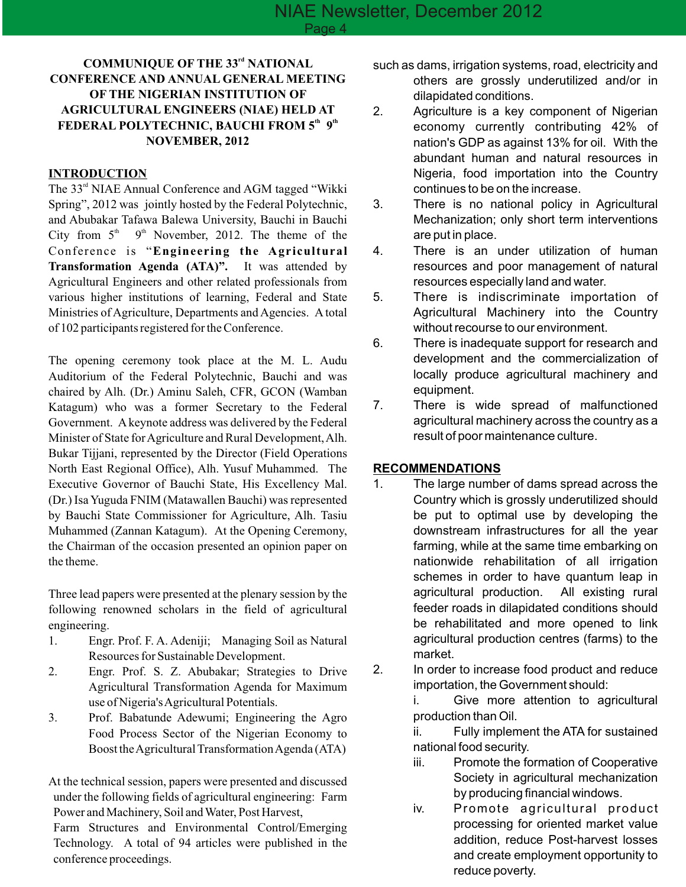#### *COMMUNIQUE OF THE 33<sup>rd</sup> NATIONAL* **CONFERENCE AND ANNUAL GENERAL MEETING OF THE NIGERIAN INSTITUTION OF AGRICULTURAL ENGINEERS (NIAE) HELD AT FEDERAL POLYTECHNIC, BAUCHI FROM 5<sup>th</sup> 9<sup>th</sup> NOVEMBER, 2012**

#### **INTRODUCTION**

The  $33<sup>rd</sup>$  NIAE Annual Conference and AGM tagged "Wikki" Spring", 2012 was jointly hosted by the Federal Polytechnic, and Abubakar Tafawa Balewa University, Bauchi in Bauchi City from  $5<sup>th</sup>$  9<sup>th</sup> November, 2012. The theme of the Conference is "**Engineering the Agricultural Transformation Agenda (ATA)".** It was attended by Agricultural Engineers and other related professionals from various higher institutions of learning, Federal and State Ministries of Agriculture, Departments and Agencies. A total of 102 participants registered for the Conference.

The opening ceremony took place at the M. L. Audu Auditorium of the Federal Polytechnic, Bauchi and was chaired by Alh. (Dr.) Aminu Saleh, CFR, GCON (Wamban Katagum) who was a former Secretary to the Federal Government. Akeynote address was delivered by the Federal Minister of State for Agriculture and Rural Development, Alh. Bukar Tijjani, represented by the Director (Field Operations North East Regional Office), Alh. Yusuf Muhammed. The Executive Governor of Bauchi State, His Excellency Mal. (Dr.) Isa Yuguda FNIM (Matawallen Bauchi) was represented by Bauchi State Commissioner for Agriculture, Alh. Tasiu Muhammed (Zannan Katagum). At the Opening Ceremony, the Chairman of the occasion presented an opinion paper on the theme.

Three lead papers were presented at the plenary session by the following renowned scholars in the field of agricultural engineering.

- 1. Engr. Prof. F. A. Adeniji; Managing Soil as Natural Resources for Sustainable Development.
- 2. Engr. Prof. S. Z. Abubakar; Strategies to Drive Agricultural Transformation Agenda for Maximum use of Nigeria's Agricultural Potentials.
- 3. Prof. Babatunde Adewumi; Engineering the Agro Food Process Sector of the Nigerian Economy to Boost the Agricultural Transformation Agenda (ATA)

At the technical session, papers were presented and discussed under the following fields of agricultural engineering: Farm Power and Machinery, Soil and Water, Post Harvest,

Farm Structures and Environmental Control/Emerging Technology. A total of 94 articles were published in the conference proceedings.

- such as dams, irrigation systems, road, electricity and others are grossly underutilized and/or in dilapidated conditions.
- 2. Agriculture is a key component of Nigerian economy currently contributing 42% of nation's GDP as against 13% for oil. With the abundant human and natural resources in Nigeria, food importation into the Country continues to be on the increase.
- 3. There is no national policy in Agricultural Mechanization; only short term interventions are put in place.
- 4. There is an under utilization of human resources and poor management of natural resources especially land and water.
- 5. There is indiscriminate importation of Agricultural Machinery into the Country without recourse to our environment.
- 6. There is inadequate support for research and development and the commercialization of locally produce agricultural machinery and equipment.
- 7. There is wide spread of malfunctioned agricultural machinery across the country as a result of poor maintenance culture.

#### **RECOMMENDATIONS**

- 1. The large number of dams spread across the Country which is grossly underutilized should be put to optimal use by developing the downstream infrastructures for all the year farming, while at the same time embarking on nationwide rehabilitation of all irrigation schemes in order to have quantum leap in agricultural production. All existing rural feeder roads in dilapidated conditions should be rehabilitated and more opened to link agricultural production centres (farms) to the market.
- 2. In order to increase food product and reduce importation, the Government should:

i. Give more attention to agricultural production than Oil.

ii. Fully implement the ATA for sustained national food security.

- iii. Promote the formation of Cooperative Society in agricultural mechanization by producing financial windows.
- iv. Promote agricultural product processing for oriented market value addition, reduce Post-harvest losses and create employment opportunity to reduce poverty.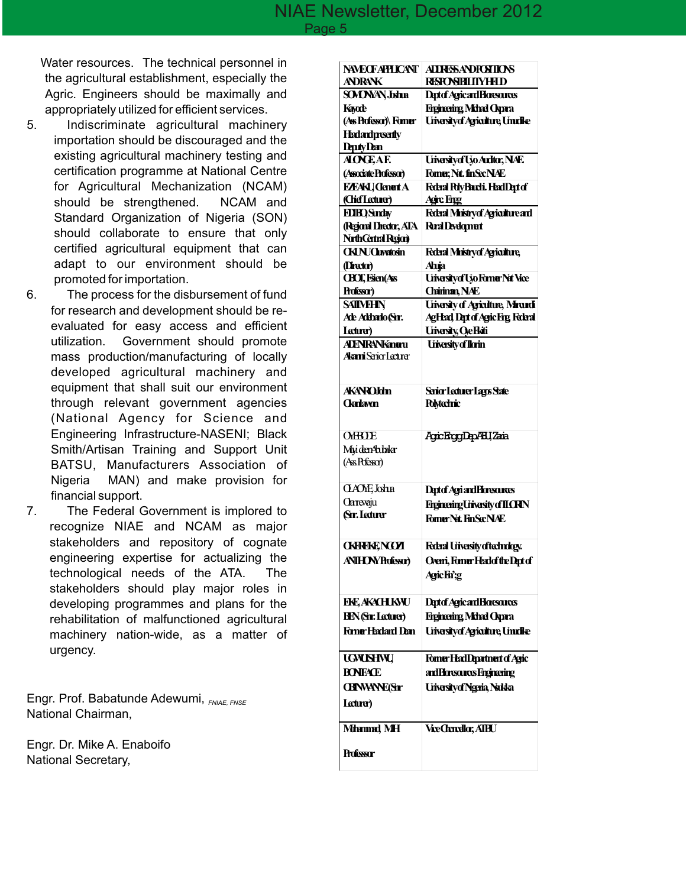Water resources. The technical personnel in the agricultural establishment, especially the Agric. Engineers should be maximally and appropriately utilized for efficient services.

- 5. Indiscriminate agricultural machinery importation should be discouraged and the existing agricultural machinery testing and certification programme at National Centre for Agricultural Mechanization (NCAM) should be strengthened. NCAM and Standard Organization of Nigeria (SON) should collaborate to ensure that only certified agricultural equipment that can adapt to our environment should be promoted for importation.
- 6. The process for the disbursement of fund for research and development should be reevaluated for easy access and efficient utilization. Government should promote mass production/manufacturing of locally developed agricultural machinery and equipment that shall suit our environment through relevant government agencies (National Agency for Science and Engineering Infrastructure-NASENI; Black Smith/Artisan Training and Support Unit BATSU, Manufacturers Association of Nigeria MAN) and make provision for financial support.
- 7. The Federal Government is implored to recognize NIAE and NCAM as major stakeholders and repository of cognate engineering expertise for actualizing the technological needs of the ATA. The stakeholders should play major roles in developing programmes and plans for the rehabilitation of malfunctioned agricultural machinery nation-wide, as a matter of urgency.

Engr. Prof. Babatunde Adewumi, *FNIAE, FNSE* National Chairman,

Engr. Dr. Mike A. Enaboifo National Secretary,

| <b>NWECFAPHICANT</b><br><b>ANDRANK</b>                           | <b>ALLRESANDRETIONS</b><br>RESPONBILITYHHD        |
|------------------------------------------------------------------|---------------------------------------------------|
| <b>SOVONAN, Johna</b>                                            | Deptof Agricard Horesources                       |
| Kayade                                                           | <b>Eigineing Mdnd Opara</b>                       |
| (Ass Professor)\ Former                                          | <b>Uriesity of Agriculture, Unrollie</b>          |
| <b>Hadandpreamty</b>                                             |                                                   |
| <b>Deputy Dan</b>                                                |                                                   |
| <b>ALONEAE</b>                                                   | Uivesityof Ujo Arditor, NAE                       |
| (Associate Professor)                                            | Forner; Nrt. finSecNAE                            |
| <b>EZEAKI</b> Clenart A                                          | Federal PdyBarchi, HeadDept of                    |
| (Chief Lecturer)                                                 | <b>Agirc Engg</b>                                 |
| <b>FDIRO Surday</b>                                              | <b>Federal Ministryof Agriculture and</b>         |
| (Regional Director, ATA                                          | <b>Rral Development</b>                           |
| Nath Central Region)                                             |                                                   |
| <b>CKINJCLivetosin</b>                                           | Federal Ministryof Agriculture,                   |
| (Director)                                                       | Ahija                                             |
| <b>CBCT</b> , Esien(Ass                                          | Uivesity of Ujo Forner Nat Vice                   |
| Professor)                                                       | Chiman, NAE                                       |
| <b>SAIIMHIN</b>                                                  | <b>Uriasity of Agriculture, Minandi</b>           |
| Ade Addarlo (Srr.                                                | <b>AgHad Dat of Agic Fig Federal</b>              |
| Lecturer)                                                        | <b>Urivesity, Oe Hati</b>                         |
| <b>ALENRANKanaru</b>                                             | University of Ilorin                              |
| Alenni Serico Lecturer                                           |                                                   |
|                                                                  |                                                   |
| <b>AKANROIdm</b>                                                 |                                                   |
| <b>Oarlavm</b>                                                   | Serior Lecturer Lagos State<br><b>Polytechnic</b> |
|                                                                  |                                                   |
|                                                                  |                                                   |
| <b>OHBOE</b>                                                     | Agic EnggDepABUZaria                              |
| MuidenAdakar<br>(Ass Pofessor)                                   |                                                   |
|                                                                  |                                                   |
| <b>CLAOME</b> , Joshua                                           | Deptof Agri and Horesones                         |
| <b>Clarevaju</b>                                                 |                                                   |
| <b>Sr.</b> Ledurer                                               | <b>Eiginering Urivesity of ILCRIN</b>             |
|                                                                  | Fomer Nt. FinSc: NAE                              |
|                                                                  |                                                   |
| <b>CKFFEKE NGOT</b>                                              | Federal Uriversity of technology.                 |
| <b>ANIHON/Professor)</b>                                         | Oveni, Fomer Hadof the Dapt of                    |
|                                                                  |                                                   |
|                                                                  | Agric Fri;g                                       |
|                                                                  |                                                   |
|                                                                  | Deptof Agricand Horescures                        |
|                                                                  | <b>Eigineing Mdnd Opara</b>                       |
| <b>Firmer Harlard Dan</b>                                        | <b>Urivesity of Agriculture, Unuclice</b>         |
|                                                                  |                                                   |
| <b>UGNUSHNU</b>                                                  | Fomer HadDpartment of Agric                       |
| <b>RONFACE</b>                                                   | ard Boreances Engineering                         |
| <b>CHNWNE(Sr</b>                                                 | Uriversity of Ngeria, Nakka                       |
|                                                                  |                                                   |
| <b>FKE, AKACH KNU</b><br><b>HEN</b> (Sir: Lecturer)<br>Lecturer) |                                                   |
|                                                                  |                                                   |
| Minmad MH                                                        | <b>Vice Chancellar, AIBU</b>                      |
| <b>Professor</b>                                                 |                                                   |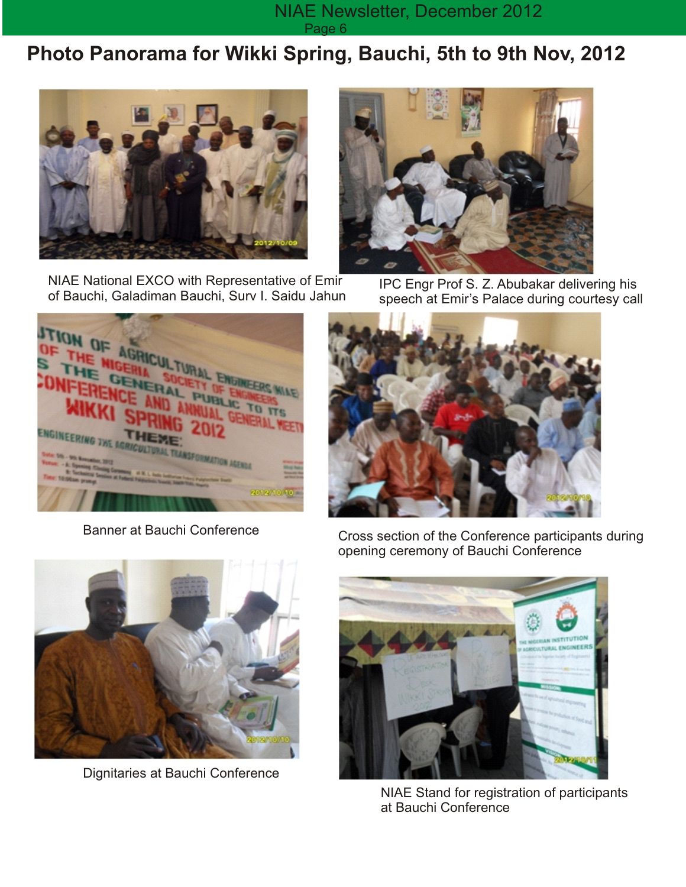#### NIAE Newsletter, December 2012 Page 6

## **Photo Panorama for Wikki Spring, Bauchi, 5th to 9th Nov, 2012**



NIAE National EXCO with Representative of Emir of Bauchi, Galadiman Bauchi, Surv I. Saidu Jahun



IPC Engr Prof S. Z. Abubakar delivering his speech at Emir's Palace during courtesy call



Banner at Bauchi Conference





Dignitaries at Bauchi Conference

Cross section of the Conference participants during opening ceremony of Bauchi Conference



NIAE Stand for registration of participants at Bauchi Conference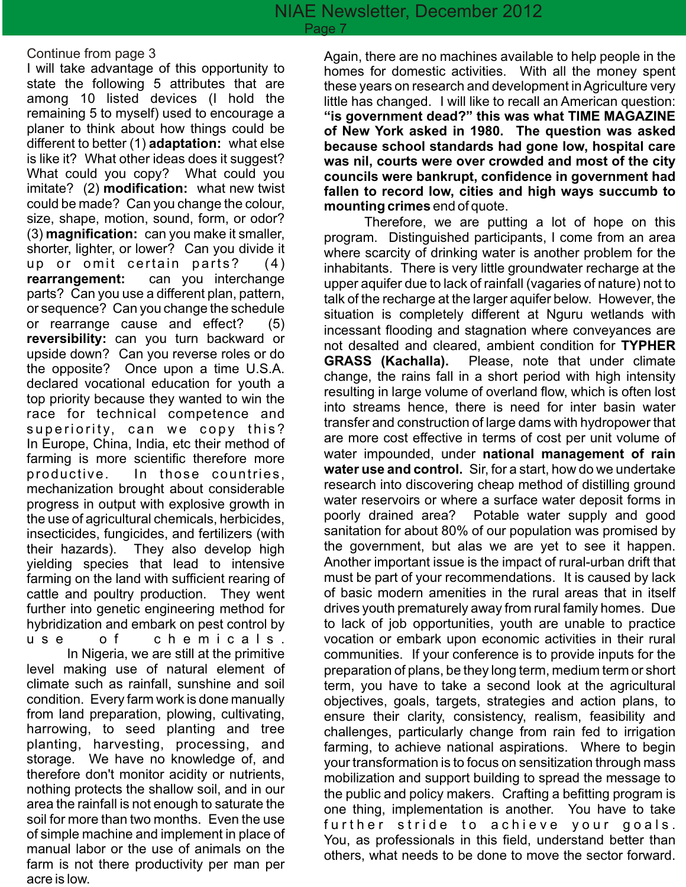#### Continue from page 3

I will take advantage of this opportunity to state the following 5 attributes that are among 10 listed devices (I hold the remaining 5 to myself) used to encourage a planer to think about how things could be different to better (1) **adaptation:** what else is like it? What other ideas does it suggest? What could you copy? What could you imitate? (2) **modification:** what new twist could be made? Can you change the colour, size, shape, motion, sound, form, or odor? (3) **magnification:** can you make it smaller, shorter, lighter, or lower? Can you divide it up or omit certain parts?  $(4)$ **rearrangement:** can you interchange parts? Can you use a different plan, pattern, or sequence? Can you change the schedule or rearrange cause and effect? (5) **reversibility:** can you turn backward or upside down? Can you reverse roles or do the opposite? Once upon a time U.S.A. declared vocational education for youth a top priority because they wanted to win the race for technical competence and superiority, can we copy this? In Europe, China, India, etc their method of farming is more scientific therefore more productive. In those countries, mechanization brought about considerable progress in output with explosive growth in the use of agricultural chemicals, herbicides, insecticides, fungicides, and fertilizers (with their hazards). They also develop high yielding species that lead to intensive farming on the land with sufficient rearing of cattle and poultry production. They went further into genetic engineering method for hybridization and embark on pest control by u s e o fchemicals.

In Nigeria, we are still at the primitive level making use of natural element of climate such as rainfall, sunshine and soil condition. Every farm work is done manually from land preparation, plowing, cultivating, harrowing, to seed planting and tree planting, harvesting, processing, and storage. We have no knowledge of, and therefore don't monitor acidity or nutrients, nothing protects the shallow soil, and in our area the rainfall is not enough to saturate the soil for more than two months. Even the use of simple machine and implement in place of manual labor or the use of animals on the farm is not there productivity per man per acre is low.

Again, there are no machines available to help people in the homes for domestic activities. With all the money spent these years on research and development in Agriculture very little has changed. I will like to recall an American question: **"is government dead?" this was what TIME MAGAZINE of New York asked in 1980. The question was asked because school standards had gone low, hospital care was nil, courts were over crowded and most of the city councils were bankrupt, confidence in government had fallen to record low, cities and high ways succumb to mounting crimes** end of quote.

Therefore, we are putting a lot of hope on this program. Distinguished participants, I come from an area where scarcity of drinking water is another problem for the inhabitants. There is very little groundwater recharge at the upper aquifer due to lack of rainfall (vagaries of nature) not to talk of the recharge at the larger aquifer below. However, the situation is completely different at Nguru wetlands with incessant flooding and stagnation where conveyances are not desalted and cleared, ambient condition for **TYPHER GRASS (Kachalla).** Please, note that under climate change, the rains fall in a short period with high intensity resulting in large volume of overland flow, which is often lost into streams hence, there is need for inter basin water transfer and construction of large dams with hydropower that are more cost effective in terms of cost per unit volume of water impounded, under **national management of rain water use and control.** Sir, for a start, how do we undertake research into discovering cheap method of distilling ground water reservoirs or where a surface water deposit forms in poorly drained area? Potable water supply and good sanitation for about 80% of our population was promised by the government, but alas we are yet to see it happen. Another important issue is the impact of rural-urban drift that must be part of your recommendations. It is caused by lack of basic modern amenities in the rural areas that in itself drives youth prematurely away from rural family homes. Due to lack of job opportunities, youth are unable to practice vocation or embark upon economic activities in their rural communities. If your conference is to provide inputs for the preparation of plans, be they long term, medium term or short term, you have to take a second look at the agricultural objectives, goals, targets, strategies and action plans, to ensure their clarity, consistency, realism, feasibility and challenges, particularly change from rain fed to irrigation farming, to achieve national aspirations. Where to begin your transformation is to focus on sensitization through mass mobilization and support building to spread the message to the public and policy makers. Crafting a befitting program is one thing, implementation is another. You have to take further stride to achieve your goals. You, as professionals in this field, understand better than others, what needs to be done to move the sector forward.